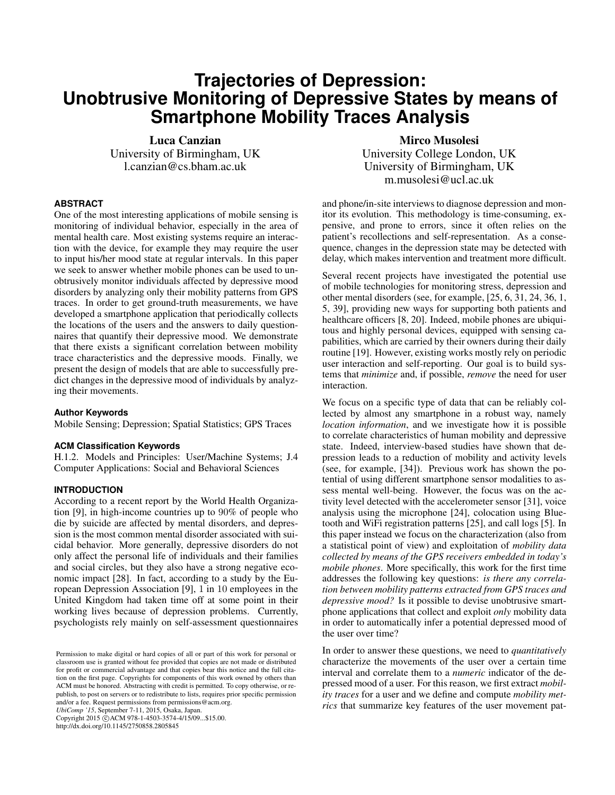# **Trajectories of Depression: Unobtrusive Monitoring of Depressive States by means of Smartphone Mobility Traces Analysis**

Luca Canzian University of Birmingham, UK l.canzian@cs.bham.ac.uk

Mirco Musolesi University College London, UK University of Birmingham, UK m.musolesi@ucl.ac.uk

# **ABSTRACT**

One of the most interesting applications of mobile sensing is monitoring of individual behavior, especially in the area of mental health care. Most existing systems require an interaction with the device, for example they may require the user to input his/her mood state at regular intervals. In this paper we seek to answer whether mobile phones can be used to unobtrusively monitor individuals affected by depressive mood disorders by analyzing only their mobility patterns from GPS traces. In order to get ground-truth measurements, we have developed a smartphone application that periodically collects the locations of the users and the answers to daily questionnaires that quantify their depressive mood. We demonstrate that there exists a significant correlation between mobility trace characteristics and the depressive moods. Finally, we present the design of models that are able to successfully predict changes in the depressive mood of individuals by analyzing their movements.

## **Author Keywords**

Mobile Sensing; Depression; Spatial Statistics; GPS Traces

## **ACM Classification Keywords**

H.1.2. Models and Principles: User/Machine Systems; J.4 Computer Applications: Social and Behavioral Sciences

#### **INTRODUCTION**

According to a recent report by the World Health Organization [\[9\]](#page-10-0), in high-income countries up to 90% of people who die by suicide are affected by mental disorders, and depression is the most common mental disorder associated with suicidal behavior. More generally, depressive disorders do not only affect the personal life of individuals and their families and social circles, but they also have a strong negative economic impact [\[28\]](#page-11-0). In fact, according to a study by the European Depression Association [\[9\]](#page-10-0), 1 in 10 employees in the United Kingdom had taken time off at some point in their working lives because of depression problems. Currently, psychologists rely mainly on self-assessment questionnaires

*UbiComp '15*, September 7-11, 2015, Osaka, Japan.

Copyright 2015 C ACM 978-1-4503-3574-4/15/09...\$15.00. http://dx.doi.org/10.1145/2750858.2805845

and phone/in-site interviews to diagnose depression and monitor its evolution. This methodology is time-consuming, expensive, and prone to errors, since it often relies on the patient's recollections and self-representation. As a consequence, changes in the depression state may be detected with delay, which makes intervention and treatment more difficult.

Several recent projects have investigated the potential use of mobile technologies for monitoring stress, depression and other mental disorders (see, for example, [\[25,](#page-10-1) [6,](#page-10-2) [31,](#page-11-1) [24,](#page-10-3) [36,](#page-11-2) [1,](#page-10-4) [5,](#page-10-5) [39\]](#page-11-3), providing new ways for supporting both patients and healthcare officers [\[8,](#page-10-6) [20\]](#page-10-7). Indeed, mobile phones are ubiquitous and highly personal devices, equipped with sensing capabilities, which are carried by their owners during their daily routine [\[19\]](#page-10-8). However, existing works mostly rely on periodic user interaction and self-reporting. Our goal is to build systems that *minimize* and, if possible, *remove* the need for user interaction.

We focus on a specific type of data that can be reliably collected by almost any smartphone in a robust way, namely *location information*, and we investigate how it is possible to correlate characteristics of human mobility and depressive state. Indeed, interview-based studies have shown that depression leads to a reduction of mobility and activity levels (see, for example, [\[34\]](#page-11-4)). Previous work has shown the potential of using different smartphone sensor modalities to assess mental well-being. However, the focus was on the activity level detected with the accelerometer sensor [\[31\]](#page-11-1), voice analysis using the microphone [\[24\]](#page-10-3), colocation using Bluetooth and WiFi registration patterns [\[25\]](#page-10-1), and call logs [\[5\]](#page-10-5). In this paper instead we focus on the characterization (also from a statistical point of view) and exploitation of *mobility data collected by means of the GPS receivers embedded in today's mobile phones*. More specifically, this work for the first time addresses the following key questions: *is there any correlation between mobility patterns extracted from GPS traces and depressive mood?* Is it possible to devise unobtrusive smartphone applications that collect and exploit *only* mobility data in order to automatically infer a potential depressed mood of the user over time?

In order to answer these questions, we need to *quantitatively* characterize the movements of the user over a certain time interval and correlate them to a *numeric* indicator of the depressed mood of a user. For this reason, we first extract *mobility traces* for a user and we define and compute *mobility metrics* that summarize key features of the user movement pat-

Permission to make digital or hard copies of all or part of this work for personal or classroom use is granted without fee provided that copies are not made or distributed for profit or commercial advantage and that copies bear this notice and the full citation on the first page. Copyrights for components of this work owned by others than ACM must be honored. Abstracting with credit is permitted. To copy otherwise, or republish, to post on servers or to redistribute to lists, requires prior specific permission and/or a fee. Request permissions from permissions@acm.org.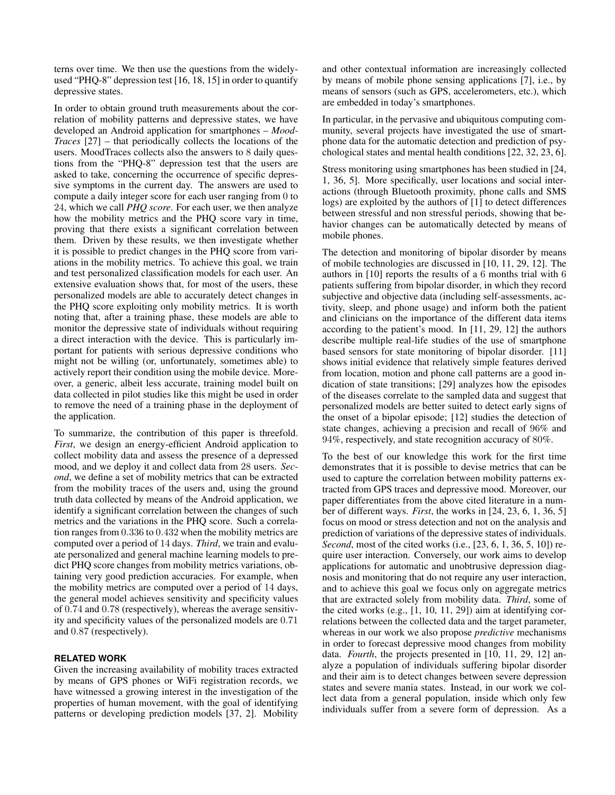terns over time. We then use the questions from the widelyused "PHQ-8" depression test [\[16,](#page-10-9) [18,](#page-10-10) [15\]](#page-10-11) in order to quantify depressive states.

In order to obtain ground truth measurements about the correlation of mobility patterns and depressive states, we have developed an Android application for smartphones – *Mood-Traces* [\[27\]](#page-11-5) – that periodically collects the locations of the users. MoodTraces collects also the answers to 8 daily questions from the "PHQ-8" depression test that the users are asked to take, concerning the occurrence of specific depressive symptoms in the current day. The answers are used to compute a daily integer score for each user ranging from 0 to 24, which we call *PHQ score*. For each user, we then analyze how the mobility metrics and the PHQ score vary in time, proving that there exists a significant correlation between them. Driven by these results, we then investigate whether it is possible to predict changes in the PHQ score from variations in the mobility metrics. To achieve this goal, we train and test personalized classification models for each user. An extensive evaluation shows that, for most of the users, these personalized models are able to accurately detect changes in the PHQ score exploiting only mobility metrics. It is worth noting that, after a training phase, these models are able to monitor the depressive state of individuals without requiring a direct interaction with the device. This is particularly important for patients with serious depressive conditions who might not be willing (or, unfortunately, sometimes able) to actively report their condition using the mobile device. Moreover, a generic, albeit less accurate, training model built on data collected in pilot studies like this might be used in order to remove the need of a training phase in the deployment of the application.

To summarize, the contribution of this paper is threefold. *First*, we design an energy-efficient Android application to collect mobility data and assess the presence of a depressed mood, and we deploy it and collect data from 28 users. *Second*, we define a set of mobility metrics that can be extracted from the mobility traces of the users and, using the ground truth data collected by means of the Android application, we identify a significant correlation between the changes of such metrics and the variations in the PHQ score. Such a correlation ranges from 0.336 to 0.432 when the mobility metrics are computed over a period of 14 days. *Third*, we train and evaluate personalized and general machine learning models to predict PHQ score changes from mobility metrics variations, obtaining very good prediction accuracies. For example, when the mobility metrics are computed over a period of 14 days, the general model achieves sensitivity and specificity values of 0.74 and 0.78 (respectively), whereas the average sensitivity and specificity values of the personalized models are 0.71 and 0.87 (respectively).

# **RELATED WORK**

Given the increasing availability of mobility traces extracted by means of GPS phones or WiFi registration records, we have witnessed a growing interest in the investigation of the properties of human movement, with the goal of identifying patterns or developing prediction models [\[37,](#page-11-6) [2\]](#page-10-12). Mobility

and other contextual information are increasingly collected by means of mobile phone sensing applications [\[7\]](#page-10-13), i.e., by means of sensors (such as GPS, accelerometers, etc.), which are embedded in today's smartphones.

In particular, in the pervasive and ubiquitous computing community, several projects have investigated the use of smartphone data for the automatic detection and prediction of psychological states and mental health conditions [\[22,](#page-10-14) [32,](#page-11-7) [23,](#page-10-15) [6\]](#page-10-2).

Stress monitoring using smartphones has been studied in [\[24,](#page-10-3) [1,](#page-10-4) [36,](#page-11-2) [5\]](#page-10-5). More specifically, user locations and social interactions (through Bluetooth proximity, phone calls and SMS logs) are exploited by the authors of [\[1\]](#page-10-4) to detect differences between stressful and non stressful periods, showing that behavior changes can be automatically detected by means of mobile phones.

The detection and monitoring of bipolar disorder by means of mobile technologies are discussed in [\[10,](#page-10-16) [11,](#page-10-17) [29,](#page-11-8) [12\]](#page-10-18). The authors in [\[10\]](#page-10-16) reports the results of a 6 months trial with 6 patients suffering from bipolar disorder, in which they record subjective and objective data (including self-assessments, activity, sleep, and phone usage) and inform both the patient and clinicians on the importance of the different data items according to the patient's mood. In [\[11,](#page-10-17) [29,](#page-11-8) [12\]](#page-10-18) the authors describe multiple real-life studies of the use of smartphone based sensors for state monitoring of bipolar disorder. [\[11\]](#page-10-17) shows initial evidence that relatively simple features derived from location, motion and phone call patterns are a good indication of state transitions; [\[29\]](#page-11-8) analyzes how the episodes of the diseases correlate to the sampled data and suggest that personalized models are better suited to detect early signs of the onset of a bipolar episode; [\[12\]](#page-10-18) studies the detection of state changes, achieving a precision and recall of 96% and 94%, respectively, and state recognition accuracy of 80%.

To the best of our knowledge this work for the first time demonstrates that it is possible to devise metrics that can be used to capture the correlation between mobility patterns extracted from GPS traces and depressive mood. Moreover, our paper differentiates from the above cited literature in a number of different ways. *First*, the works in [\[24,](#page-10-3) [23,](#page-10-15) [6,](#page-10-2) [1,](#page-10-4) [36,](#page-11-2) [5\]](#page-10-5) focus on mood or stress detection and not on the analysis and prediction of variations of the depressive states of individuals. *Second*, most of the cited works (i.e., [\[23,](#page-10-15) [6,](#page-10-2) [1,](#page-10-4) [36,](#page-11-2) [5,](#page-10-5) [10\]](#page-10-16)) require user interaction. Conversely, our work aims to develop applications for automatic and unobtrusive depression diagnosis and monitoring that do not require any user interaction, and to achieve this goal we focus only on aggregate metrics that are extracted solely from mobility data. *Third*, some of the cited works (e.g., [\[1,](#page-10-4) [10,](#page-10-16) [11,](#page-10-17) [29\]](#page-11-8)) aim at identifying correlations between the collected data and the target parameter, whereas in our work we also propose *predictive* mechanisms in order to forecast depressive mood changes from mobility data. *Fourth*, the projects presented in [\[10,](#page-10-16) [11,](#page-10-17) [29,](#page-11-8) [12\]](#page-10-18) analyze a population of individuals suffering bipolar disorder and their aim is to detect changes between severe depression states and severe mania states. Instead, in our work we collect data from a general population, inside which only few individuals suffer from a severe form of depression. As a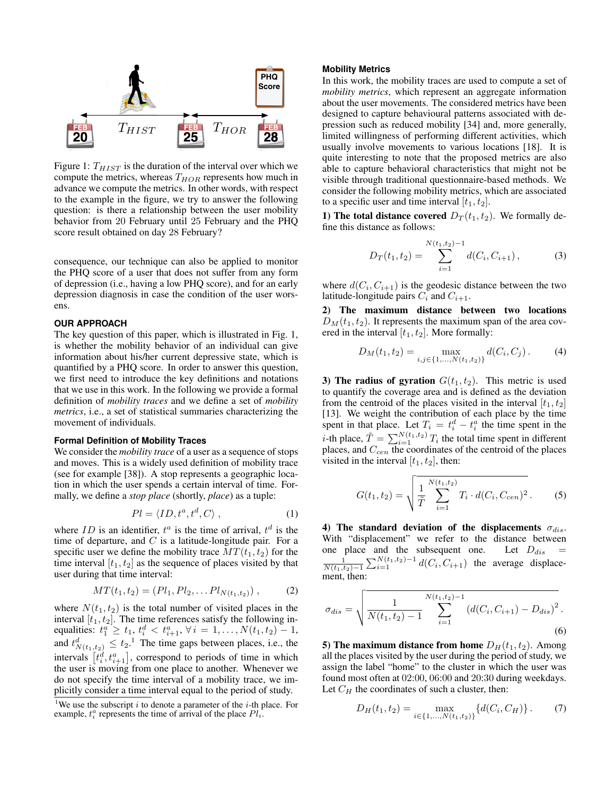<span id="page-2-0"></span>

Figure 1:  $T_{HIST}$  is the duration of the interval over which we compute the metrics, whereas  $T_{HOR}$  represents how much in advance we compute the metrics. In other words, with respect to the example in the figure, we try to answer the following question: is there a relationship between the user mobility behavior from 20 February until 25 February and the PHQ score result obtained on day 28 February?

consequence, our technique can also be applied to monitor the PHQ score of a user that does not suffer from any form of depression (i.e., having a low PHQ score), and for an early depression diagnosis in case the condition of the user worsens.

#### **OUR APPROACH**

The key question of this paper, which is illustrated in Fig. [1,](#page-2-0) is whether the mobility behavior of an individual can give information about his/her current depressive state, which is quantified by a PHQ score. In order to answer this question, we first need to introduce the key definitions and notations that we use in this work. In the following we provide a formal definition of *mobility traces* and we define a set of *mobility metrics*, i.e., a set of statistical summaries characterizing the movement of individuals.

#### **Formal Definition of Mobility Traces**

We consider the *mobility trace* of a user as a sequence of stops and moves. This is a widely used definition of mobility trace (see for example [\[38\]](#page-11-9)). A stop represents a geographic location in which the user spends a certain interval of time. Formally, we define a *stop place* (shortly, *place*) as a tuple:

$$
Pl = \langle ID, t^a, t^d, C \rangle \;, \tag{1}
$$

where  $ID$  is an identifier,  $t^a$  is the time of arrival,  $t^d$  is the time of departure, and  $C$  is a latitude-longitude pair. For a specific user we define the mobility trace  $MT(t_1, t_2)$  for the time interval  $[t_1, t_2]$  as the sequence of places visited by that user during that time interval:

$$
MT(t_1, t_2) = (Pl_1, Pl_2, \dots Pl_{N(t_1, t_2)}), \tag{2}
$$

where  $N(t_1, t_2)$  is the total number of visited places in the interval  $[t_1, t_2]$ . The time references satisfy the following inequalities:  $t_1^a \ge t_1, t_i^d < t_{i+1}^a, \forall i = 1, ..., N(t_1, t_2) - 1$ , and  $t_{N(t_1,t_2)}^d \leq t_2$  $t_{N(t_1,t_2)}^d \leq t_2$  $t_{N(t_1,t_2)}^d \leq t_2$ .<sup>1</sup> The time gaps between places, i.e., the intervals  $[t_i^d, t_{i+1}^a]$ , correspond to periods of time in which the user is moving from one place to another. Whenever we do not specify the time interval of a mobility trace, we implicitly consider a time interval equal to the period of study.

#### **Mobility Metrics**

In this work, the mobility traces are used to compute a set of *mobility metrics*, which represent an aggregate information about the user movements. The considered metrics have been designed to capture behavioural patterns associated with depression such as reduced mobility [\[34\]](#page-11-4) and, more generally, limited willingness of performing different activities, which usually involve movements to various locations [\[18\]](#page-10-10). It is quite interesting to note that the proposed metrics are also able to capture behavioral characteristics that might not be visible through traditional questionnaire-based methods. We consider the following mobility metrics, which are associated to a specific user and time interval  $[t_1, t_2]$ .

1) The total distance covered  $D_T(t_1, t_2)$ . We formally define this distance as follows:

<span id="page-2-2"></span>
$$
D_T(t_1, t_2) = \sum_{i=1}^{N(t_1, t_2)-1} d(C_i, C_{i+1}), \qquad (3)
$$

where  $d(C_i, C_{i+1})$  is the geodesic distance between the two latitude-longitude pairs  $C_i$  and  $C_{i+1}$ .

2) The maximum distance between two locations  $D_M(t_1, t_2)$ . It represents the maximum span of the area covered in the interval  $[t_1, t_2]$ . More formally:

$$
D_M(t_1, t_2) = \max_{i, j \in \{1, \dots, N(t_1, t_2)\}} d(C_i, C_j).
$$
 (4)

3) The radius of gyration  $G(t_1, t_2)$ . This metric is used to quantify the coverage area and is defined as the deviation from the centroid of the places visited in the interval  $[t_1, t_2]$ [\[13\]](#page-10-19). We weight the contribution of each place by the time spent in that place. Let  $T_i = t_i^d - t_i^a$  the time spent in the *i*-th place,  $\tilde{T} = \sum_{i=1}^{N(t_1, t_2)} T_i$  the total time spent in different places, and  $C_{cen}$  the coordinates of the centroid of the places visited in the interval  $[t_1, t_2]$ , then:

$$
G(t_1, t_2) = \sqrt{\frac{1}{\tilde{T}} \sum_{i=1}^{N(t_1, t_2)} T_i \cdot d(C_i, C_{cen})^2}.
$$
 (5)

4) The standard deviation of the displacements  $\sigma_{dis}$ . With "displacement" we refer to the distance between one place and the subsequent one. Let  $D_{dis} = \frac{1}{N(t_1,t_2)-1} \sum_{i=1}^{N(t_1,t_2)-1} d(C_i, C_{i+1})$  the average displacement, then:

$$
\sigma_{dis} = \sqrt{\frac{1}{N(t_1, t_2) - 1} \sum_{i=1}^{N(t_1, t_2) - 1} (d(C_i, C_{i+1}) - D_{dis})^2}.
$$
\n(6)

5) The maximum distance from home  $D_H(t_1, t_2)$ . Among all the places visited by the user during the period of study, we assign the label "home" to the cluster in which the user was found most often at 02:00, 06:00 and 20:30 during weekdays. Let  $C_H$  the coordinates of such a cluster, then:

$$
D_H(t_1, t_2) = \max_{i \in \{1, \dots, N(t_1, t_2)\}} \{d(C_i, C_H)\}.
$$
 (7)

<span id="page-2-1"></span><sup>&</sup>lt;sup>1</sup>We use the subscript i to denote a parameter of the *i*-th place. For example,  $t_i^a$  represents the time of arrival of the place  $Pl_i^1$ .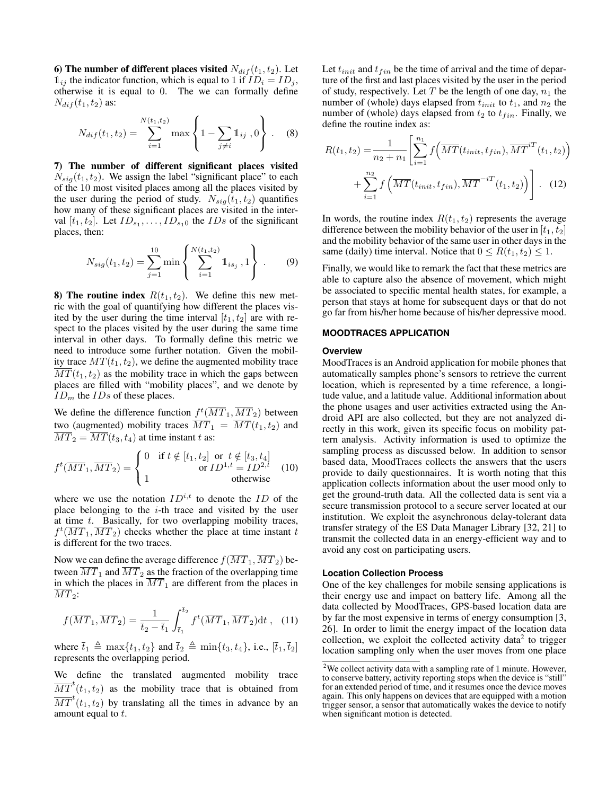6) The number of different places visited  $N_{dif}(t_1, t_2)$ . Let  $1_{ij}$  the indicator function, which is equal to 1 if  $ID_i = ID_j$ , otherwise it is equal to 0. The we can formally define  $N_{dif}(t_1, t_2)$  as:

$$
N_{dif}(t_1, t_2) = \sum_{i=1}^{N(t_1, t_2)} \max\left\{1 - \sum_{j \neq i} \mathbb{1}_{ij}, 0\right\} .
$$
 (8)

7) The number of different significant places visited  $N_{s i q}(t_1, t_2)$ . We assign the label "significant place" to each of the 10 most visited places among all the places visited by the user during the period of study.  $N_{\text{siq}}(t_1, t_2)$  quantifies how many of these significant places are visited in the interval  $[t_1, t_2]$ . Let  $ID_{s_1}, \ldots, ID_{s_10}$  the  $IDs$  of the significant places, then:

<span id="page-3-1"></span>
$$
N_{sig}(t_1, t_2) = \sum_{j=1}^{10} \min \left\{ \sum_{i=1}^{N(t_1, t_2)} 1_{is_j}, 1 \right\} .
$$
 (9)

8) The routine index  $R(t_1, t_2)$ . We define this new metric with the goal of quantifying how different the places visited by the user during the time interval  $[t_1, t_2]$  are with respect to the places visited by the user during the same time interval in other days. To formally define this metric we need to introduce some further notation. Given the mobility trace  $MT(t_1, t_2)$ , we define the augmented mobility trace  $MT(t_1, t_2)$  as the mobility trace in which the gaps between places are filled with "mobility places", and we denote by  $ID<sub>m</sub>$  the  $ID<sub>s</sub>$  of these places.

We define the difference function  $f^t(\overline{MT}_1, \overline{MT}_2)$  between two (augmented) mobility traces  $\overline{MT}_1 = \overline{MT}(t_1, t_2)$  and  $\overline{MT}_2 = \overline{MT}(t_3, t_4)$  at time instant t as:

$$
f^t(\overline{MT}_1, \overline{MT}_2) = \begin{cases} 0 & \text{if } t \notin [t_1, t_2] \text{ or } t \notin [t_3, t_4] \\ 0 & \text{or } ID^{1, t} = ID^{2, t} \\ 1 & \text{otherwise} \end{cases}
$$
(10)

where we use the notation  $ID^{i,t}$  to denote the ID of the place belonging to the  $i$ -th trace and visited by the user at time  $t$ . Basically, for two overlapping mobility traces,  $f^t(\overline{MT}_1, \overline{MT}_2)$  checks whether the place at time instant t is different for the two traces.

Now we can define the average difference  $f(\overline{MT}_1, \overline{MT}_2)$  between  $MT_1$  and  $MT_2$  as the fraction of the overlapping time in which the places in  $MT_1$  are different from the places in  $MT_2$ :

$$
f(\overline{MT}_1, \overline{MT}_2) = \frac{1}{\overline{t}_2 - \overline{t}_1} \int_{\overline{t}_1}^{\overline{t}_2} f^t(\overline{MT}_1, \overline{MT}_2) dt , \quad (11)
$$

where  $\bar{t}_1 \triangleq \max\{t_1, t_2\}$  and  $\bar{t}_2 \triangleq \min\{t_3, t_4\}$ , i.e.,  $[\bar{t}_1, \bar{t}_2]$ represents the overlapping period.

We define the translated augmented mobility trace  $\overline{MT}^{t}(t_1, t_2)$  as the mobility trace that is obtained from  $\overline{MT}^{t}(t_1, t_2)$  by translating all the times in advance by an amount equal to t.

Let  $t_{init}$  and  $t_{fin}$  be the time of arrival and the time of departure of the first and last places visited by the user in the period of study, respectively. Let T be the length of one day,  $n_1$  the number of (whole) days elapsed from  $t_{init}$  to  $t_1$ , and  $n_2$  the number of (whole) days elapsed from  $t_2$  to  $t_{fin}$ . Finally, we define the routine index as:

<span id="page-3-2"></span>
$$
R(t_1, t_2) = \frac{1}{n_2 + n_1} \left[ \sum_{i=1}^{n_1} f\left(\overline{MT}(t_{init}, t_{fin}), \overline{MT}^{iT}(t_1, t_2)\right) + \sum_{i=1}^{n_2} f\left(\overline{MT}(t_{init}, t_{fin}), \overline{MT}^{-iT}(t_1, t_2)\right) \right].
$$
 (12)

In words, the routine index  $R(t_1, t_2)$  represents the average difference between the mobility behavior of the user in  $[t_1, t_2]$ and the mobility behavior of the same user in other days in the same (daily) time interval. Notice that  $0 \leq R(t_1, t_2) \leq 1$ .

Finally, we would like to remark the fact that these metrics are able to capture also the absence of movement, which might be associated to specific mental health states, for example, a person that stays at home for subsequent days or that do not go far from his/her home because of his/her depressive mood.

## **MOODTRACES APPLICATION**

#### **Overview**

MoodTraces is an Android application for mobile phones that automatically samples phone's sensors to retrieve the current location, which is represented by a time reference, a longitude value, and a latitude value. Additional information about the phone usages and user activities extracted using the Android API are also collected, but they are not analyzed directly in this work, given its specific focus on mobility pattern analysis. Activity information is used to optimize the sampling process as discussed below. In addition to sensor based data, MoodTraces collects the answers that the users provide to daily questionnaires. It is worth noting that this application collects information about the user mood only to get the ground-truth data. All the collected data is sent via a secure transmission protocol to a secure server located at our institution. We exploit the asynchronous delay-tolerant data transfer strategy of the ES Data Manager Library [\[32,](#page-11-7) [21\]](#page-10-20) to transmit the collected data in an energy-efficient way and to avoid any cost on participating users.

#### **Location Collection Process**

One of the key challenges for mobile sensing applications is their energy use and impact on battery life. Among all the data collected by MoodTraces, GPS-based location data are by far the most expensive in terms of energy consumption [\[3,](#page-10-21) [26\]](#page-10-22). In order to limit the energy impact of the location data collection, we exploit the collected activity data<sup>[2](#page-3-0)</sup> to trigger location sampling only when the user moves from one place

<span id="page-3-0"></span> $2$ We collect activity data with a sampling rate of 1 minute. However, to conserve battery, activity reporting stops when the device is "still" for an extended period of time, and it resumes once the device moves again. This only happens on devices that are equipped with a motion trigger sensor, a sensor that automatically wakes the device to notify when significant motion is detected.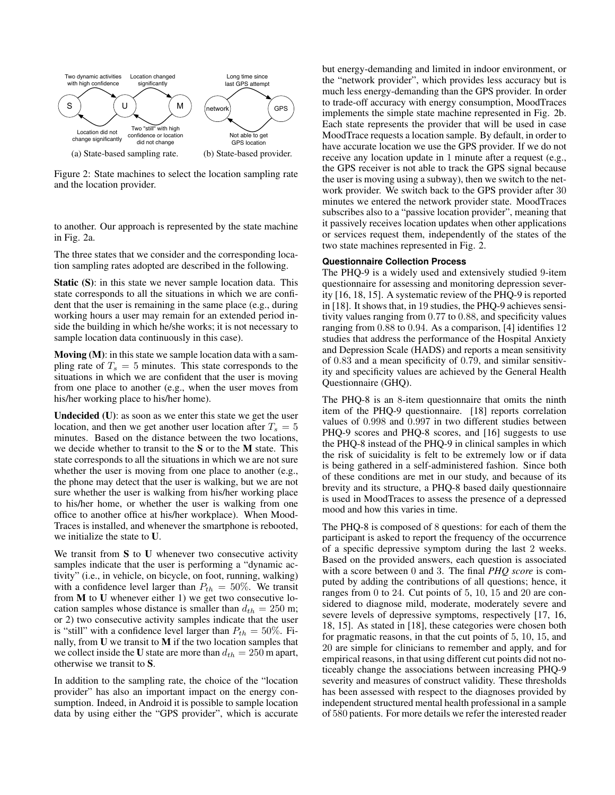<span id="page-4-2"></span><span id="page-4-0"></span>

Figure 2: State machines to select the location sampling rate and the location provider.

to another. Our approach is represented by the state machine in Fig. [2a.](#page-4-0)

The three states that we consider and the corresponding location sampling rates adopted are described in the following.

**Static (S):** in this state we never sample location data. This state corresponds to all the situations in which we are confident that the user is remaining in the same place (e.g., during working hours a user may remain for an extended period inside the building in which he/she works; it is not necessary to sample location data continuously in this case).

**Moving (M):** in this state we sample location data with a sampling rate of  $T_s = 5$  minutes. This state corresponds to the situations in which we are confident that the user is moving from one place to another (e.g., when the user moves from his/her working place to his/her home).

Undecided (U): as soon as we enter this state we get the user location, and then we get another user location after  $T_s = 5$ minutes. Based on the distance between the two locations, we decide whether to transit to the S or to the M state. This state corresponds to all the situations in which we are not sure whether the user is moving from one place to another (e.g., the phone may detect that the user is walking, but we are not sure whether the user is walking from his/her working place to his/her home, or whether the user is walking from one office to another office at his/her workplace). When Mood-Traces is installed, and whenever the smartphone is rebooted, we initialize the state to U.

We transit from  $S$  to  $U$  whenever two consecutive activity samples indicate that the user is performing a "dynamic activity" (i.e., in vehicle, on bicycle, on foot, running, walking) with a confidence level larger than  $P_{th} = 50\%$ . We transit from M to U whenever either 1) we get two consecutive location samples whose distance is smaller than  $d_{th} = 250$  m; or 2) two consecutive activity samples indicate that the user is "still" with a confidence level larger than  $P_{th} = 50\%$ . Finally, from  $U$  we transit to  $M$  if the two location samples that we collect inside the U state are more than  $d_{th} = 250$  m apart, otherwise we transit to S.

In addition to the sampling rate, the choice of the "location provider" has also an important impact on the energy consumption. Indeed, in Android it is possible to sample location data by using either the "GPS provider", which is accurate <span id="page-4-1"></span>but energy-demanding and limited in indoor environment, or the "network provider", which provides less accuracy but is much less energy-demanding than the GPS provider. In order to trade-off accuracy with energy consumption, MoodTraces implements the simple state machine represented in Fig. [2b.](#page-4-1) Each state represents the provider that will be used in case MoodTrace requests a location sample. By default, in order to have accurate location we use the GPS provider. If we do not receive any location update in 1 minute after a request (e.g., the GPS receiver is not able to track the GPS signal because the user is moving using a subway), then we switch to the network provider. We switch back to the GPS provider after 30 minutes we entered the network provider state. MoodTraces subscribes also to a "passive location provider", meaning that it passively receives location updates when other applications or services request them, independently of the states of the two state machines represented in Fig. [2.](#page-4-2)

#### **Questionnaire Collection Process**

The PHQ-9 is a widely used and extensively studied 9-item questionnaire for assessing and monitoring depression severity [\[16,](#page-10-9) [18,](#page-10-10) [15\]](#page-10-11). A systematic review of the PHQ-9 is reported in [\[18\]](#page-10-10). It shows that, in 19 studies, the PHQ-9 achieves sensitivity values ranging from 0.77 to 0.88, and specificity values ranging from 0.88 to 0.94. As a comparison, [\[4\]](#page-10-23) identifies 12 studies that address the performance of the Hospital Anxiety and Depression Scale (HADS) and reports a mean sensitivity of 0.83 and a mean specificity of 0.79, and similar sensitivity and specificity values are achieved by the General Health Questionnaire (GHQ).

The PHQ-8 is an 8-item questionnaire that omits the ninth item of the PHQ-9 questionnaire. [\[18\]](#page-10-10) reports correlation values of 0.998 and 0.997 in two different studies between PHQ-9 scores and PHQ-8 scores, and [\[16\]](#page-10-9) suggests to use the PHQ-8 instead of the PHQ-9 in clinical samples in which the risk of suicidality is felt to be extremely low or if data is being gathered in a self-administered fashion. Since both of these conditions are met in our study, and because of its brevity and its structure, a PHQ-8 based daily questionnaire is used in MoodTraces to assess the presence of a depressed mood and how this varies in time.

The PHQ-8 is composed of 8 questions: for each of them the participant is asked to report the frequency of the occurrence of a specific depressive symptom during the last 2 weeks. Based on the provided answers, each question is associated with a score between 0 and 3. The final *PHQ score* is computed by adding the contributions of all questions; hence, it ranges from 0 to 24. Cut points of 5, 10, 15 and 20 are considered to diagnose mild, moderate, moderately severe and severe levels of depressive symptoms, respectively [\[17,](#page-10-24) [16,](#page-10-9) [18,](#page-10-10) [15\]](#page-10-11). As stated in [\[18\]](#page-10-10), these categories were chosen both for pragmatic reasons, in that the cut points of 5, 10, 15, and 20 are simple for clinicians to remember and apply, and for empirical reasons, in that using different cut points did not noticeably change the associations between increasing PHQ-9 severity and measures of construct validity. These thresholds has been assessed with respect to the diagnoses provided by independent structured mental health professional in a sample of 580 patients. For more details we refer the interested reader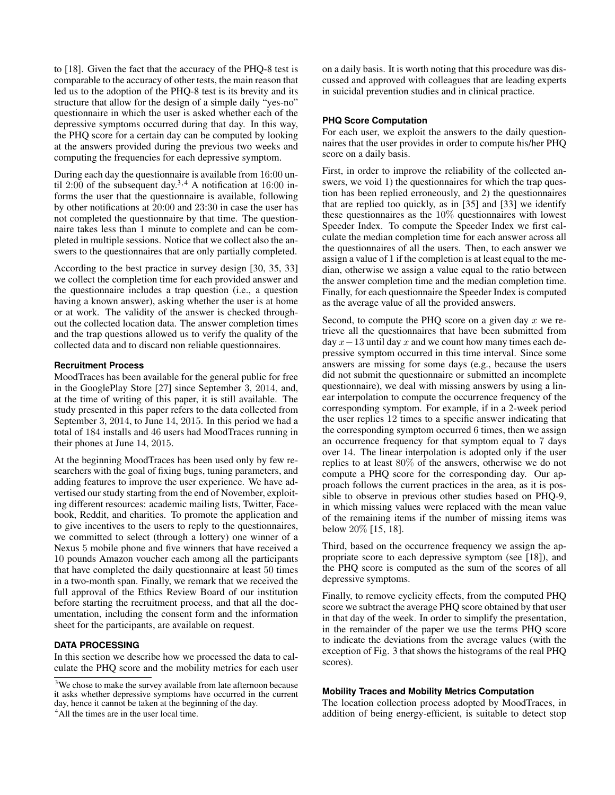to [\[18\]](#page-10-10). Given the fact that the accuracy of the PHQ-8 test is comparable to the accuracy of other tests, the main reason that led us to the adoption of the PHQ-8 test is its brevity and its structure that allow for the design of a simple daily "yes-no" questionnaire in which the user is asked whether each of the depressive symptoms occurred during that day. In this way, the PHQ score for a certain day can be computed by looking at the answers provided during the previous two weeks and computing the frequencies for each depressive symptom.

During each day the questionnaire is available from 16:00 until  $2:00$  of the subsequent day.<sup>[3](#page-5-0),[4](#page-5-1)</sup> A notification at 16:00 informs the user that the questionnaire is available, following by other notifications at 20:00 and 23:30 in case the user has not completed the questionnaire by that time. The questionnaire takes less than 1 minute to complete and can be completed in multiple sessions. Notice that we collect also the answers to the questionnaires that are only partially completed.

According to the best practice in survey design [\[30,](#page-11-10) [35,](#page-11-11) [33\]](#page-11-12) we collect the completion time for each provided answer and the questionnaire includes a trap question (i.e., a question having a known answer), asking whether the user is at home or at work. The validity of the answer is checked throughout the collected location data. The answer completion times and the trap questions allowed us to verify the quality of the collected data and to discard non reliable questionnaires.

## **Recruitment Process**

MoodTraces has been available for the general public for free in the GooglePlay Store [\[27\]](#page-11-5) since September 3, 2014, and, at the time of writing of this paper, it is still available. The study presented in this paper refers to the data collected from September 3, 2014, to June 14, 2015. In this period we had a total of 184 installs and 46 users had MoodTraces running in their phones at June 14, 2015.

At the beginning MoodTraces has been used only by few researchers with the goal of fixing bugs, tuning parameters, and adding features to improve the user experience. We have advertised our study starting from the end of November, exploiting different resources: academic mailing lists, Twitter, Facebook, Reddit, and charities. To promote the application and to give incentives to the users to reply to the questionnaires, we committed to select (through a lottery) one winner of a Nexus 5 mobile phone and five winners that have received a 10 pounds Amazon voucher each among all the participants that have completed the daily questionnaire at least 50 times in a two-month span. Finally, we remark that we received the full approval of the Ethics Review Board of our institution before starting the recruitment process, and that all the documentation, including the consent form and the information sheet for the participants, are available on request.

# **DATA PROCESSING**

In this section we describe how we processed the data to calculate the PHQ score and the mobility metrics for each user on a daily basis. It is worth noting that this procedure was discussed and approved with colleagues that are leading experts in suicidal prevention studies and in clinical practice.

## **PHQ Score Computation**

For each user, we exploit the answers to the daily questionnaires that the user provides in order to compute his/her PHQ score on a daily basis.

First, in order to improve the reliability of the collected answers, we void 1) the questionnaires for which the trap question has been replied erroneously, and 2) the questionnaires that are replied too quickly, as in [\[35\]](#page-11-11) and [\[33\]](#page-11-12) we identify these questionnaires as the 10% questionnaires with lowest Speeder Index. To compute the Speeder Index we first calculate the median completion time for each answer across all the questionnaires of all the users. Then, to each answer we assign a value of 1 if the completion is at least equal to the median, otherwise we assign a value equal to the ratio between the answer completion time and the median completion time. Finally, for each questionnaire the Speeder Index is computed as the average value of all the provided answers.

Second, to compute the PHQ score on a given day  $x$  we retrieve all the questionnaires that have been submitted from day  $x-13$  until day x and we count how many times each depressive symptom occurred in this time interval. Since some answers are missing for some days (e.g., because the users did not submit the questionnaire or submitted an incomplete questionnaire), we deal with missing answers by using a linear interpolation to compute the occurrence frequency of the corresponding symptom. For example, if in a 2-week period the user replies 12 times to a specific answer indicating that the corresponding symptom occurred 6 times, then we assign an occurrence frequency for that symptom equal to 7 days over 14. The linear interpolation is adopted only if the user replies to at least 80% of the answers, otherwise we do not compute a PHQ score for the corresponding day. Our approach follows the current practices in the area, as it is possible to observe in previous other studies based on PHQ-9, in which missing values were replaced with the mean value of the remaining items if the number of missing items was below 20% [\[15,](#page-10-11) [18\]](#page-10-10).

Third, based on the occurrence frequency we assign the appropriate score to each depressive symptom (see [\[18\]](#page-10-10)), and the PHQ score is computed as the sum of the scores of all depressive symptoms.

Finally, to remove cyclicity effects, from the computed PHQ score we subtract the average PHQ score obtained by that user in that day of the week. In order to simplify the presentation, in the remainder of the paper we use the terms PHQ score to indicate the deviations from the average values (with the exception of Fig. [3](#page-7-0) that shows the histograms of the real PHQ scores).

## **Mobility Traces and Mobility Metrics Computation**

The location collection process adopted by MoodTraces, in addition of being energy-efficient, is suitable to detect stop

<span id="page-5-0"></span><sup>&</sup>lt;sup>3</sup>We chose to make the survey available from late afternoon because it asks whether depressive symptoms have occurred in the current day, hence it cannot be taken at the beginning of the day.

<span id="page-5-1"></span><sup>&</sup>lt;sup>4</sup>All the times are in the user local time.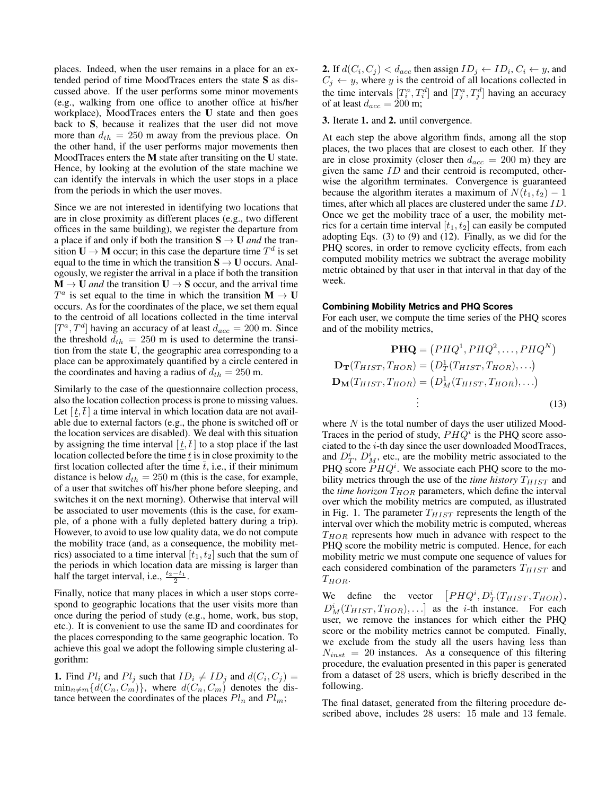places. Indeed, when the user remains in a place for an extended period of time MoodTraces enters the state S as discussed above. If the user performs some minor movements (e.g., walking from one office to another office at his/her workplace), MoodTraces enters the U state and then goes back to S, because it realizes that the user did not move more than  $d_{th} = 250$  m away from the previous place. On the other hand, if the user performs major movements then MoodTraces enters the M state after transiting on the U state. Hence, by looking at the evolution of the state machine we can identify the intervals in which the user stops in a place from the periods in which the user moves.

Since we are not interested in identifying two locations that are in close proximity as different places (e.g., two different offices in the same building), we register the departure from a place if and only if both the transition  $S \rightarrow U$  *and* the transition  $U \to M$  occur; in this case the departure time  $T<sup>d</sup>$  is set equal to the time in which the transition  $S \rightarrow U$  occurs. Analogously, we register the arrival in a place if both the transition  $M \rightarrow U$  *and* the transition  $U \rightarrow S$  occur, and the arrival time  $T^a$  is set equal to the time in which the transition  $M \to U$ occurs. As for the coordinates of the place, we set them equal to the centroid of all locations collected in the time interval  $[T^a, T^d]$  having an accuracy of at least  $d_{acc} = 200$  m. Since the threshold  $d_{th} = 250$  m is used to determine the transition from the state U, the geographic area corresponding to a place can be approximately quantified by a circle centered in the coordinates and having a radius of  $d_{th} = 250$  m.

Similarly to the case of the questionnaire collection process, also the location collection process is prone to missing values. Let  $[t, t]$  a time interval in which location data are not available due to external factors (e.g., the phone is switched off or the location services are disabled). We deal with this situation by assigning the time interval  $[t,\bar{t}]$  to a stop place if the last location collected before the time  $\underline{t}$  is in close proximity to the first location collected after the time  $t$ , i.e., if their minimum distance is below  $d_{th} = 250$  m (this is the case, for example, of a user that switches off his/her phone before sleeping, and switches it on the next morning). Otherwise that interval will be associated to user movements (this is the case, for example, of a phone with a fully depleted battery during a trip). However, to avoid to use low quality data, we do not compute the mobility trace (and, as a consequence, the mobility metrics) associated to a time interval  $[t_1, t_2]$  such that the sum of the periods in which location data are missing is larger than half the target interval, i.e.,  $\frac{t_2-t_1}{2}$ .

Finally, notice that many places in which a user stops correspond to geographic locations that the user visits more than once during the period of study (e.g., home, work, bus stop, etc.). It is convenient to use the same ID and coordinates for the places corresponding to the same geographic location. To achieve this goal we adopt the following simple clustering algorithm:

**1.** Find  $Pl_i$  and  $Pl_j$  such that  $ID_i \neq ID_j$  and  $d(C_i, C_j)$  =  $\min_{n\neq m}\{d(C_n, C_m)\}\$ , where  $d(C_n, C_m)$  denotes the distance between the coordinates of the places  $Pl_n$  and  $Pl_m$ ;

**2.** If  $d(C_i, C_j) < d_{acc}$  then assign  $ID_j \leftarrow ID_i, C_i \leftarrow y$ , and  $C_j \leftarrow y$ , where y is the centroid of all locations collected in the time intervals  $[T_i^a, T_i^d]$  and  $[T_j^a, T_j^d]$  having an accuracy of at least  $d_{acc} = 200$  m;

## 3. Iterate 1. and 2. until convergence.

At each step the above algorithm finds, among all the stop places, the two places that are closest to each other. If they are in close proximity (closer then  $d_{acc} = 200$  m) they are given the same  $ID$  and their centroid is recomputed, otherwise the algorithm terminates. Convergence is guaranteed because the algorithm iterates a maximum of  $N(t_1, t_2) - 1$ times, after which all places are clustered under the same ID. Once we get the mobility trace of a user, the mobility metrics for a certain time interval  $[t_1, t_2]$  can easily be computed adopting Eqs. [\(3\)](#page-2-2) to [\(9\)](#page-3-1) and [\(12\)](#page-3-2). Finally, as we did for the PHQ scores, in order to remove cyclicity effects, from each computed mobility metrics we subtract the average mobility metric obtained by that user in that interval in that day of the week.

#### **Combining Mobility Metrics and PHQ Scores**

For each user, we compute the time series of the PHQ scores and of the mobility metrics,

<span id="page-6-0"></span>
$$
\mathbf{PHQ} = (PHQ^1, PHQ^2, \dots, PHQ^N)
$$

$$
\mathbf{D_T}(T_{HIST}, T_{HOR}) = (D_T^1(T_{HIST}, T_{HOR}), \dots)
$$

$$
\mathbf{D_M}(T_{HIST}, T_{HOR}) = (D_M^1(T_{HIST}, T_{HOR}), \dots)
$$

$$
\vdots
$$
(13)

where  $N$  is the total number of days the user utilized Mood-Traces in the period of study,  $PHQ<sup>i</sup>$  is the PHQ score associated to the i-th day since the user downloaded MoodTraces, and  $D_T^i$ ,  $D_M^i$ , etc., are the mobility metric associated to the PHQ score  $PHQ^i$ . We associate each PHQ score to the mobility metrics through the use of the *time history*  $T_{HIST}$  and the *time horizon*  $T_{HOR}$  parameters, which define the interval over which the mobility metrics are computed, as illustrated in Fig. [1.](#page-2-0) The parameter  $T_{HIST}$  represents the length of the interval over which the mobility metric is computed, whereas  $T_{HOR}$  represents how much in advance with respect to the PHQ score the mobility metric is computed. Hence, for each mobility metric we must compute one sequence of values for each considered combination of the parameters  $T_{HIST}$  and  $T_{HOR}$ 

We define the vector  $PHQ^i, D_T^i(T_{HIST}, T_{HOR}),$  $D_M^i(T_{HIST}, T_{HOR}), \ldots]$  as the *i*-th instance. For each user, we remove the instances for which either the PHQ score or the mobility metrics cannot be computed. Finally, we exclude from the study all the users having less than  $N_{inst}$  = 20 instances. As a consequence of this filtering procedure, the evaluation presented in this paper is generated from a dataset of 28 users, which is briefly described in the following.

The final dataset, generated from the filtering procedure described above, includes 28 users: 15 male and 13 female.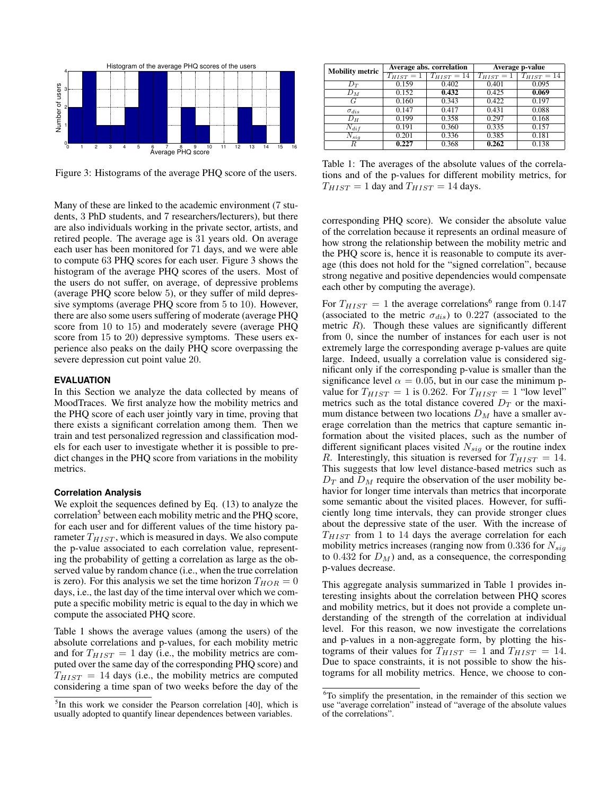<span id="page-7-0"></span>

Figure 3: Histograms of the average PHQ score of the users.

Many of these are linked to the academic environment (7 students, 3 PhD students, and 7 researchers/lecturers), but there are also individuals working in the private sector, artists, and retired people. The average age is 31 years old. On average each user has been monitored for 71 days, and we were able to compute 63 PHQ scores for each user. Figure [3](#page-7-0) shows the histogram of the average PHQ scores of the users. Most of the users do not suffer, on average, of depressive problems (average PHQ score below 5), or they suffer of mild depressive symptoms (average PHQ score from 5 to 10). However, there are also some users suffering of moderate (average PHQ score from 10 to 15) and moderately severe (average PHQ score from 15 to 20) depressive symptoms. These users experience also peaks on the daily PHQ score overpassing the severe depression cut point value 20.

#### **EVALUATION**

In this Section we analyze the data collected by means of MoodTraces. We first analyze how the mobility metrics and the PHQ score of each user jointly vary in time, proving that there exists a significant correlation among them. Then we train and test personalized regression and classification models for each user to investigate whether it is possible to predict changes in the PHQ score from variations in the mobility metrics.

#### **Correlation Analysis**

We exploit the sequences defined by Eq. [\(13\)](#page-6-0) to analyze the correlation<sup>[5](#page-7-1)</sup> between each mobility metric and the PHQ score, for each user and for different values of the time history parameter  $T_{HIST}$ , which is measured in days. We also compute the p-value associated to each correlation value, representing the probability of getting a correlation as large as the observed value by random chance (i.e., when the true correlation is zero). For this analysis we set the time horizon  $T_{HOR} = 0$ days, i.e., the last day of the time interval over which we compute a specific mobility metric is equal to the day in which we compute the associated PHQ score.

Table [1](#page-7-2) shows the average values (among the users) of the absolute correlations and p-values, for each mobility metric and for  $T_{HIST} = 1$  day (i.e., the mobility metrics are computed over the same day of the corresponding PHQ score) and  $T_{HIST}$  = 14 days (i.e., the mobility metrics are computed considering a time span of two weeks before the day of the

<span id="page-7-2"></span>

| <b>Mobility metric</b> | Average abs. correlation |                 | Average p-value |                 |
|------------------------|--------------------------|-----------------|-----------------|-----------------|
|                        | $T_{HIST}=1$             | $T_{HIST} = 14$ | $T_{HIST}=1$    | $T_{HIST} = 14$ |
| $D_T$                  | 0.159                    | 0.402           | 0.401           | 0.095           |
| $D_M$                  | 0.152                    | 0.432           | 0.425           | 0.069           |
| G                      | 0.160                    | 0.343           | 0.422           | 0.197           |
| $\sigma_{dis}$         | 0.147                    | 0.417           | 0.431           | 0.088           |
| $D_H$                  | 0.199                    | 0.358           | 0.297           | 0.168           |
| $N_{dif}$              | 0.191                    | 0.360           | 0.335           | 0.157           |
| $N_{sia}$              | 0.201                    | 0.336           | 0.385           | 0.181           |
| R                      | 0.227                    | 0.368           | 0.262           | 0.138           |

Table 1: The averages of the absolute values of the correlations and of the p-values for different mobility metrics, for  $T_{HIST} = 1$  day and  $T_{HIST} = 14$  days.

corresponding PHQ score). We consider the absolute value of the correlation because it represents an ordinal measure of how strong the relationship between the mobility metric and the PHQ score is, hence it is reasonable to compute its average (this does not hold for the "signed correlation", because strong negative and positive dependencies would compensate each other by computing the average).

For  $T_{HIST} = 1$  the average correlations<sup>[6](#page-7-3)</sup> range from 0.147 (associated to the metric  $\sigma_{dis}$ ) to 0.227 (associated to the metric  $R$ ). Though these values are significantly different from 0, since the number of instances for each user is not extremely large the corresponding average p-values are quite large. Indeed, usually a correlation value is considered significant only if the corresponding p-value is smaller than the significance level  $\alpha = 0.05$ , but in our case the minimum pvalue for  $T_{HIST} = 1$  is 0.262. For  $T_{HIST} = 1$  "low level" metrics such as the total distance covered  $D_T$  or the maximum distance between two locations  $D<sub>M</sub>$  have a smaller average correlation than the metrics that capture semantic information about the visited places, such as the number of different significant places visited  $N_{sig}$  or the routine index R. Interestingly, this situation is reversed for  $T_{HIST} = 14$ . This suggests that low level distance-based metrics such as  $D_T$  and  $D_M$  require the observation of the user mobility behavior for longer time intervals than metrics that incorporate some semantic about the visited places. However, for sufficiently long time intervals, they can provide stronger clues about the depressive state of the user. With the increase of  $T_{HIST}$  from 1 to 14 days the average correlation for each mobility metrics increases (ranging now from 0.336 for  $N_{sig}$ to 0.432 for  $D_M$ ) and, as a consequence, the corresponding p-values decrease.

This aggregate analysis summarized in Table [1](#page-7-2) provides interesting insights about the correlation between PHQ scores and mobility metrics, but it does not provide a complete understanding of the strength of the correlation at individual level. For this reason, we now investigate the correlations and p-values in a non-aggregate form, by plotting the histograms of their values for  $T_{HIST} = 1$  and  $T_{HIST} = 14$ . Due to space constraints, it is not possible to show the histograms for all mobility metrics. Hence, we choose to con-

<span id="page-7-1"></span><sup>5</sup> In this work we consider the Pearson correlation [\[40\]](#page-11-13), which is usually adopted to quantify linear dependences between variables.

<span id="page-7-3"></span><sup>6</sup>To simplify the presentation, in the remainder of this section we use "average correlation" instead of "average of the absolute values of the correlations".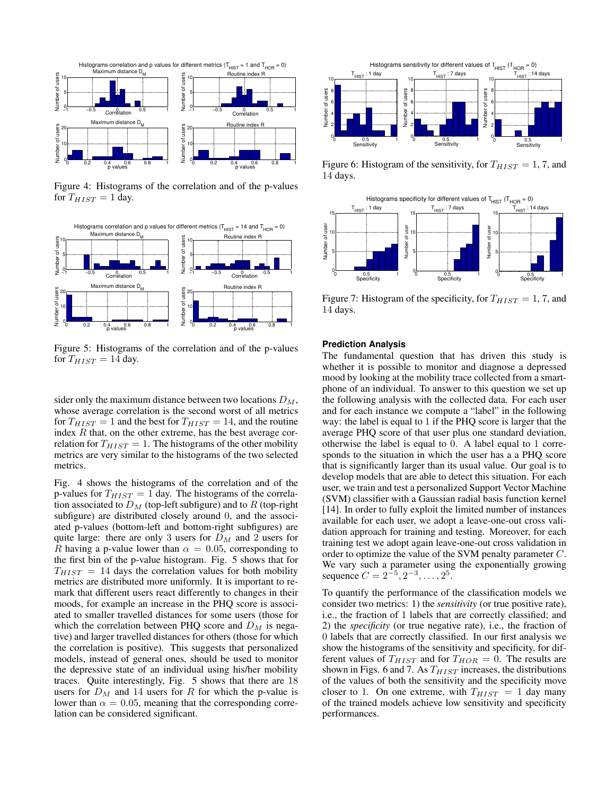<span id="page-8-0"></span>

Figure 4: Histograms of the correlation and of the p-values for  $T_{HIST} = 1$  day.

<span id="page-8-1"></span>

Figure 5: Histograms of the correlation and of the p-values for  $T_{HIST} = 14$  day.

sider only the maximum distance between two locations  $D_M$ , whose average correlation is the second worst of all metrics for  $T_{HIST} = 1$  and the best for  $T_{HIST} = 14$ , and the routine index  $R$  that, on the other extreme, has the best average correlation for  $T_{HIST} = 1$ . The histograms of the other mobility metrics are very similar to the histograms of the two selected metrics.

Fig. [4](#page-8-0) shows the histograms of the correlation and of the p-values for  $T_{HIST} = 1$  day. The histograms of the correlation associated to  $D_M$  (top-left subfigure) and to R (top-right subfigure) are distributed closely around 0, and the associated p-values (bottom-left and bottom-right subfigures) are quite large: there are only 3 users for  $D_M$  and 2 users for R having a p-value lower than  $\alpha = 0.05$ , corresponding to the first bin of the p-value histogram. Fig. [5](#page-8-1) shows that for  $T_{HIST}$  = 14 days the correlation values for both mobility metrics are distributed more uniformly. It is important to remark that different users react differently to changes in their moods, for example an increase in the PHQ score is associated to smaller travelled distances for some users (those for which the correlation between PHQ score and  $D_M$  is negative) and larger travelled distances for others (those for which the correlation is positive). This suggests that personalized models, instead of general ones, should be used to monitor the depressive state of an individual using his/her mobility traces. Quite interestingly, Fig. [5](#page-8-1) shows that there are 18 users for  $D_M$  and 14 users for R for which the p-value is lower than  $\alpha = 0.05$ , meaning that the corresponding correlation can be considered significant.

<span id="page-8-2"></span>

Figure 6: Histogram of the sensitivity, for  $T_{HIST} = 1, 7$ , and 14 days.

<span id="page-8-3"></span>

Figure 7: Histogram of the specificity, for  $T_{HIST} = 1, 7$ , and 14 days.

## **Prediction Analysis**

The fundamental question that has driven this study is whether it is possible to monitor and diagnose a depressed mood by looking at the mobility trace collected from a smartphone of an individual. To answer to this question we set up the following analysis with the collected data. For each user and for each instance we compute a "label" in the following way: the label is equal to 1 if the PHQ score is larger that the average PHQ score of that user plus one standard deviation, otherwise the label is equal to 0. A label equal to 1 corresponds to the situation in which the user has a a PHQ score that is significantly larger than its usual value. Our goal is to develop models that are able to detect this situation. For each user, we train and test a personalized Support Vector Machine (SVM) classifier with a Gaussian radial basis function kernel [\[14\]](#page-10-25). In order to fully exploit the limited number of instances available for each user, we adopt a leave-one-out cross validation approach for training and testing. Moreover, for each training test we adopt again leave-one-out cross validation in order to optimize the value of the SVM penalty parameter C. We vary such a parameter using the exponentially growing sequence  $C = 2^{-5}, 2^{-3}, \dots, 2^5$ .

To quantify the performance of the classification models we consider two metrics: 1) the *sensitivity* (or true positive rate), i.e., the fraction of 1 labels that are correctly classified; and 2) the *specificity* (or true negative rate), i.e., the fraction of 0 labels that are correctly classified. In our first analysis we show the histograms of the sensitivity and specificity, for different values of  $T_{HIST}$  and for  $T_{HOR} = 0$ . The results are shown in Figs. [6](#page-8-2) and [7.](#page-8-3) As  $T_{HIST}$  increases, the distributions of the values of both the sensitivity and the specificity move closer to 1. On one extreme, with  $T_{HIST} = 1$  day many of the trained models achieve low sensitivity and specificity performances.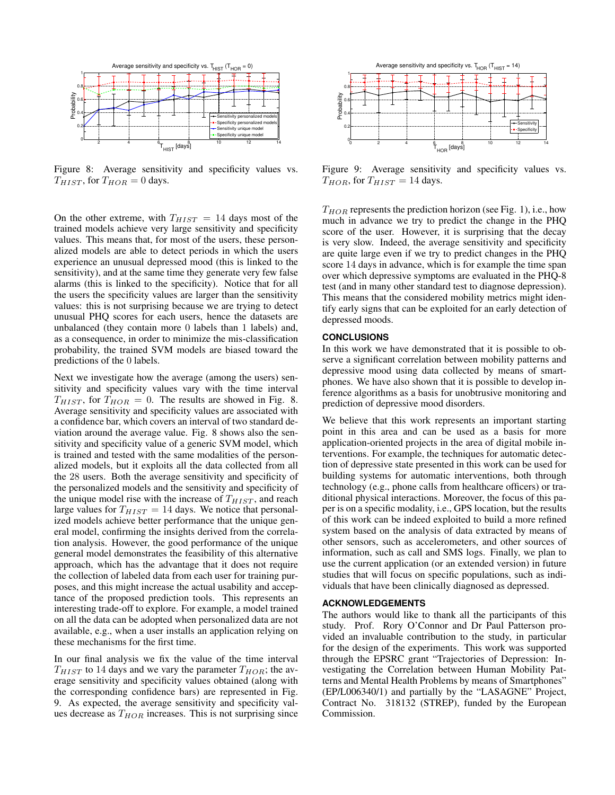<span id="page-9-0"></span>

Figure 8: Average sensitivity and specificity values vs.  $T_{HIST}$ , for  $T_{HOR} = 0$  days.

On the other extreme, with  $T_{HIST} = 14$  days most of the trained models achieve very large sensitivity and specificity values. This means that, for most of the users, these personalized models are able to detect periods in which the users experience an unusual depressed mood (this is linked to the sensitivity), and at the same time they generate very few false alarms (this is linked to the specificity). Notice that for all the users the specificity values are larger than the sensitivity values: this is not surprising because we are trying to detect unusual PHQ scores for each users, hence the datasets are unbalanced (they contain more 0 labels than 1 labels) and, as a consequence, in order to minimize the mis-classification probability, the trained SVM models are biased toward the predictions of the 0 labels.

Next we investigate how the average (among the users) sensitivity and specificity values vary with the time interval  $T_{HIST}$ , for  $T_{HOR} = 0$ . The results are showed in Fig. [8.](#page-9-0) Average sensitivity and specificity values are associated with a confidence bar, which covers an interval of two standard deviation around the average value. Fig. [8](#page-9-0) shows also the sensitivity and specificity value of a generic SVM model, which is trained and tested with the same modalities of the personalized models, but it exploits all the data collected from all the 28 users. Both the average sensitivity and specificity of the personalized models and the sensitivity and specificity of the unique model rise with the increase of  $T_{HIST}$ , and reach large values for  $T_{HIST} = 14$  days. We notice that personalized models achieve better performance that the unique general model, confirming the insights derived from the correlation analysis. However, the good performance of the unique general model demonstrates the feasibility of this alternative approach, which has the advantage that it does not require the collection of labeled data from each user for training purposes, and this might increase the actual usability and acceptance of the proposed prediction tools. This represents an interesting trade-off to explore. For example, a model trained on all the data can be adopted when personalized data are not available, e.g., when a user installs an application relying on these mechanisms for the first time.

In our final analysis we fix the value of the time interval  $T_{HIST}$  to 14 days and we vary the parameter  $T_{HOR}$ ; the average sensitivity and specificity values obtained (along with the corresponding confidence bars) are represented in Fig. [9.](#page-9-1) As expected, the average sensitivity and specificity values decrease as  $T_{HOR}$  increases. This is not surprising since

<span id="page-9-1"></span>

Figure 9: Average sensitivity and specificity values vs.  $T_{HOR}$ , for  $T_{HIST} = 14$  days.

 $T_{HOR}$  represents the prediction horizon (see Fig. [1\)](#page-2-0), i.e., how much in advance we try to predict the change in the PHQ score of the user. However, it is surprising that the decay is very slow. Indeed, the average sensitivity and specificity are quite large even if we try to predict changes in the PHQ score 14 days in advance, which is for example the time span over which depressive symptoms are evaluated in the PHQ-8 test (and in many other standard test to diagnose depression). This means that the considered mobility metrics might identify early signs that can be exploited for an early detection of depressed moods.

# **CONCLUSIONS**

In this work we have demonstrated that it is possible to observe a significant correlation between mobility patterns and depressive mood using data collected by means of smartphones. We have also shown that it is possible to develop inference algorithms as a basis for unobtrusive monitoring and prediction of depressive mood disorders.

We believe that this work represents an important starting point in this area and can be used as a basis for more application-oriented projects in the area of digital mobile interventions. For example, the techniques for automatic detection of depressive state presented in this work can be used for building systems for automatic interventions, both through technology (e.g., phone calls from healthcare officers) or traditional physical interactions. Moreover, the focus of this paper is on a specific modality, i.e., GPS location, but the results of this work can be indeed exploited to build a more refined system based on the analysis of data extracted by means of other sensors, such as accelerometers, and other sources of information, such as call and SMS logs. Finally, we plan to use the current application (or an extended version) in future studies that will focus on specific populations, such as individuals that have been clinically diagnosed as depressed.

#### **ACKNOWLEDGEMENTS**

The authors would like to thank all the participants of this study. Prof. Rory O'Connor and Dr Paul Patterson provided an invaluable contribution to the study, in particular for the design of the experiments. This work was supported through the EPSRC grant "Trajectories of Depression: Investigating the Correlation between Human Mobility Patterns and Mental Health Problems by means of Smartphones" (EP/L006340/1) and partially by the "LASAGNE" Project, Contract No. 318132 (STREP), funded by the European Commission.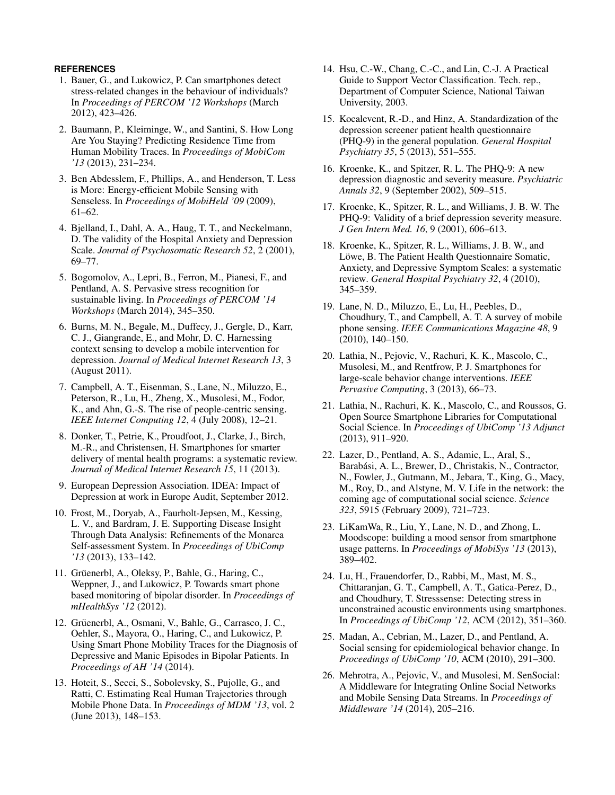# <span id="page-10-4"></span>**REFERENCES**

- 1. Bauer, G., and Lukowicz, P. Can smartphones detect stress-related changes in the behaviour of individuals? In *Proceedings of PERCOM '12 Workshops* (March 2012), 423–426.
- <span id="page-10-12"></span>2. Baumann, P., Kleiminge, W., and Santini, S. How Long Are You Staying? Predicting Residence Time from Human Mobility Traces. In *Proceedings of MobiCom '13* (2013), 231–234.
- <span id="page-10-21"></span>3. Ben Abdesslem, F., Phillips, A., and Henderson, T. Less is More: Energy-efficient Mobile Sensing with Senseless. In *Proceedings of MobiHeld '09* (2009), 61–62.
- <span id="page-10-23"></span>4. Bjelland, I., Dahl, A. A., Haug, T. T., and Neckelmann, D. The validity of the Hospital Anxiety and Depression Scale. *Journal of Psychosomatic Research 52*, 2 (2001), 69–77.
- <span id="page-10-5"></span>5. Bogomolov, A., Lepri, B., Ferron, M., Pianesi, F., and Pentland, A. S. Pervasive stress recognition for sustainable living. In *Proceedings of PERCOM '14 Workshops* (March 2014), 345–350.
- <span id="page-10-2"></span>6. Burns, M. N., Begale, M., Duffecy, J., Gergle, D., Karr, C. J., Giangrande, E., and Mohr, D. C. Harnessing context sensing to develop a mobile intervention for depression. *Journal of Medical Internet Research 13*, 3 (August 2011).
- <span id="page-10-13"></span>7. Campbell, A. T., Eisenman, S., Lane, N., Miluzzo, E., Peterson, R., Lu, H., Zheng, X., Musolesi, M., Fodor, K., and Ahn, G.-S. The rise of people-centric sensing. *IEEE Internet Computing 12*, 4 (July 2008), 12–21.
- <span id="page-10-6"></span>8. Donker, T., Petrie, K., Proudfoot, J., Clarke, J., Birch, M.-R., and Christensen, H. Smartphones for smarter delivery of mental health programs: a systematic review. *Journal of Medical Internet Research 15*, 11 (2013).
- <span id="page-10-0"></span>9. European Depression Association. IDEA: Impact of Depression at work in Europe Audit, September 2012.
- <span id="page-10-16"></span>10. Frost, M., Doryab, A., Faurholt-Jepsen, M., Kessing, L. V., and Bardram, J. E. Supporting Disease Insight Through Data Analysis: Refinements of the Monarca Self-assessment System. In *Proceedings of UbiComp '13* (2013), 133–142.
- <span id="page-10-17"></span>11. Grüenerbl, A., Oleksy, P., Bahle, G., Haring, C., Weppner, J., and Lukowicz, P. Towards smart phone based monitoring of bipolar disorder. In *Proceedings of mHealthSys '12* (2012).
- <span id="page-10-18"></span>12. Grüenerbl, A., Osmani, V., Bahle, G., Carrasco, J. C., Oehler, S., Mayora, O., Haring, C., and Lukowicz, P. Using Smart Phone Mobility Traces for the Diagnosis of Depressive and Manic Episodes in Bipolar Patients. In *Proceedings of AH '14* (2014).
- <span id="page-10-19"></span>13. Hoteit, S., Secci, S., Sobolevsky, S., Pujolle, G., and Ratti, C. Estimating Real Human Trajectories through Mobile Phone Data. In *Proceedings of MDM '13*, vol. 2 (June 2013), 148–153.
- <span id="page-10-25"></span>14. Hsu, C.-W., Chang, C.-C., and Lin, C.-J. A Practical Guide to Support Vector Classification. Tech. rep., Department of Computer Science, National Taiwan University, 2003.
- <span id="page-10-11"></span>15. Kocalevent, R.-D., and Hinz, A. Standardization of the depression screener patient health questionnaire (PHQ-9) in the general population. *General Hospital Psychiatry 35*, 5 (2013), 551–555.
- <span id="page-10-9"></span>16. Kroenke, K., and Spitzer, R. L. The PHQ-9: A new depression diagnostic and severity measure. *Psychiatric Annals 32*, 9 (September 2002), 509–515.
- <span id="page-10-24"></span>17. Kroenke, K., Spitzer, R. L., and Williams, J. B. W. The PHQ-9: Validity of a brief depression severity measure. *J Gen Intern Med. 16*, 9 (2001), 606–613.
- <span id="page-10-10"></span>18. Kroenke, K., Spitzer, R. L., Williams, J. B. W., and Löwe, B. The Patient Health Questionnaire Somatic, Anxiety, and Depressive Symptom Scales: a systematic review. *General Hospital Psychiatry 32*, 4 (2010), 345–359.
- <span id="page-10-8"></span>19. Lane, N. D., Miluzzo, E., Lu, H., Peebles, D., Choudhury, T., and Campbell, A. T. A survey of mobile phone sensing. *IEEE Communications Magazine 48*, 9 (2010), 140–150.
- <span id="page-10-7"></span>20. Lathia, N., Pejovic, V., Rachuri, K. K., Mascolo, C., Musolesi, M., and Rentfrow, P. J. Smartphones for large-scale behavior change interventions. *IEEE Pervasive Computing*, 3 (2013), 66–73.
- <span id="page-10-20"></span>21. Lathia, N., Rachuri, K. K., Mascolo, C., and Roussos, G. Open Source Smartphone Libraries for Computational Social Science. In *Proceedings of UbiComp '13 Adjunct* (2013), 911–920.
- <span id="page-10-14"></span>22. Lazer, D., Pentland, A. S., Adamic, L., Aral, S., Barabási, A. L., Brewer, D., Christakis, N., Contractor, N., Fowler, J., Gutmann, M., Jebara, T., King, G., Macy, M., Roy, D., and Alstyne, M. V. Life in the network: the coming age of computational social science. *Science 323*, 5915 (February 2009), 721–723.
- <span id="page-10-15"></span>23. LiKamWa, R., Liu, Y., Lane, N. D., and Zhong, L. Moodscope: building a mood sensor from smartphone usage patterns. In *Proceedings of MobiSys '13* (2013), 389–402.
- <span id="page-10-3"></span>24. Lu, H., Frauendorfer, D., Rabbi, M., Mast, M. S., Chittaranjan, G. T., Campbell, A. T., Gatica-Perez, D., and Choudhury, T. Stresssense: Detecting stress in unconstrained acoustic environments using smartphones. In *Proceedings of UbiComp '12*, ACM (2012), 351–360.
- <span id="page-10-1"></span>25. Madan, A., Cebrian, M., Lazer, D., and Pentland, A. Social sensing for epidemiological behavior change. In *Proceedings of UbiComp '10*, ACM (2010), 291–300.
- <span id="page-10-22"></span>26. Mehrotra, A., Pejovic, V., and Musolesi, M. SenSocial: A Middleware for Integrating Online Social Networks and Mobile Sensing Data Streams. In *Proceedings of Middleware '14* (2014), 205–216.